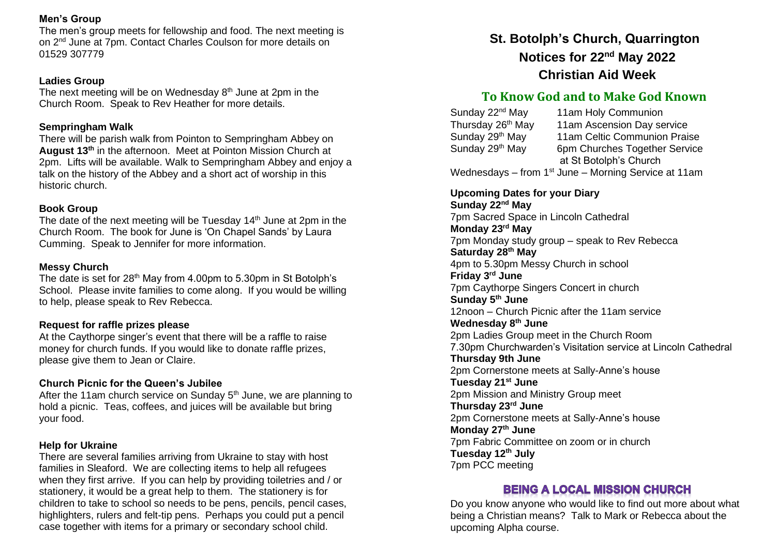## **Men's Group**

The men's group meets for fellowship and food. The next meeting is on 2<sup>nd</sup> June at 7pm. Contact Charles Coulson for more details on 01529 307779

### **Ladies Group**

The next meeting will be on Wednesday 8<sup>th</sup> June at 2pm in the Church Room. Speak to Rev Heather for more details.

## **Sempringham Walk**

There will be parish walk from Pointon to Sempringham Abbey on **August 13th** in the afternoon. Meet at Pointon Mission Church at 2pm. Lifts will be available. Walk to Sempringham Abbey and enjoy a talk on the history of the Abbey and a short act of worship in this historic church.

## **Book Group**

The date of the next meeting will be Tuesday  $14<sup>th</sup>$  June at 2pm in the Church Room. The book for June is 'On Chapel Sands' by Laura Cumming. Speak to Jennifer for more information.

## **Messy Church**

The date is set for 28<sup>th</sup> May from 4.00pm to 5.30pm in St Botolph's School. Please invite families to come along. If you would be willing to help, please speak to Rev Rebecca.

## **Request for raffle prizes please**

At the Caythorpe singer's event that there will be a raffle to raise money for church funds. If you would like to donate raffle prizes, please give them to Jean or Claire.

### **Church Picnic for the Queen's Jubilee**

After the 11am church service on Sunday  $5<sup>th</sup>$  June, we are planning to hold a picnic. Teas, coffees, and juices will be available but bring your food.

### **Help for Ukraine**

There are several families arriving from Ukraine to stay with host families in Sleaford. We are collecting items to help all refugees when they first arrive. If you can help by providing toiletries and / or stationery, it would be a great help to them. The stationery is for children to take to school so needs to be pens, pencils, pencil cases, highlighters, rulers and felt-tip pens. Perhaps you could put a pencil case together with items for a primary or secondary school child.

# **St. Botolph's Church, Quarrington Notices for 22nd May 2022 Christian Aid Week**

## **To Know God and to Make God Known**

| Sunday 22 <sup>nd</sup> May   | 11am Holy Communion                                              |
|-------------------------------|------------------------------------------------------------------|
| Thursday 26 <sup>th</sup> May | 11am Ascension Day service                                       |
| Sunday 29th May               | 11am Celtic Communion Praise                                     |
| Sunday 29th May               | 6pm Churches Together Service                                    |
|                               | at St Botolph's Church                                           |
|                               | Wednesdays – from 1 <sup>st</sup> June – Morning Service at 11am |

**Upcoming Dates for your Diary Sunday 22nd May**  7pm Sacred Space in Lincoln Cathedral **Monday 23rd May** 7pm Monday study group – speak to Rev Rebecca **Saturday 28th May** 4pm to 5.30pm Messy Church in school **Friday 3rd June** 7pm Caythorpe Singers Concert in church **Sunday 5th June** 12noon – Church Picnic after the 11am service **Wednesday 8th June** 2pm Ladies Group meet in the Church Room 7.30pm Churchwarden's Visitation service at Lincoln Cathedral **Thursday 9th June** 2pm Cornerstone meets at Sally-Anne's house **Tuesday 21st June** 2pm Mission and Ministry Group meet **Thursday 23rd June** 2pm Cornerstone meets at Sally-Anne's house **Monday 27th June** 7pm Fabric Committee on zoom or in church **Tuesday 12th July** 7pm PCC meeting

## **BEING A LOCAL MISSION CHURCH**

Do you know anyone who would like to find out more about what being a Christian means? Talk to Mark or Rebecca about the upcoming Alpha course.